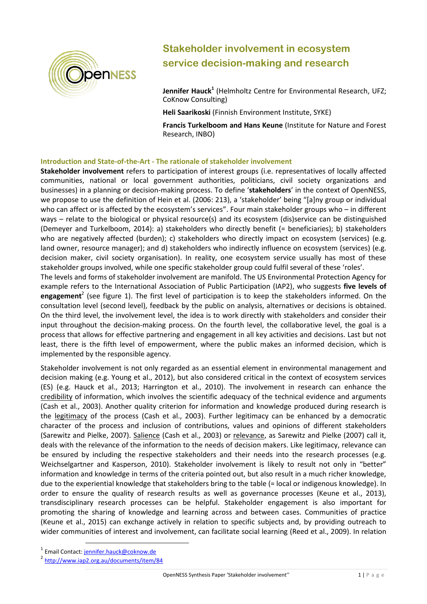

# **Stakeholder involvement in ecosystem service decision-making and research**

**Jennifer Hauck<sup>1</sup>** (Helmholtz Centre for Environmental Research, UFZ; CoKnow Consulting)

**Heli Saarikoski** (Finnish Environment Institute, SYKE)

**Francis Turkelboom and Hans Keune** (Institute for Nature and Forest Research, INBO)

### **Introduction and State-of-the-Art - The rationale of stakeholder involvement**

**Stakeholder involvement** refers to participation of interest groups (i.e. representatives of locally affected communities, national or local government authorities, politicians, civil society organizations and businesses) in a planning or decision-making process. To define '**stakeholders**' in the context of OpenNESS, we propose to use the definition of Hein et al. (2006: 213), a 'stakeholder' being "[a]ny group or individual who can affect or is affected by the ecosystem's services". Four main stakeholder groups who - in different ways – relate to the biological or physical resource(s) and its ecosystem (dis)service can be distinguished (Demeyer and Turkelboom, 2014): a) stakeholders who directly benefit (= beneficiaries); b) stakeholders who are negatively affected (burden); c) stakeholders who directly impact on ecosystem (services) (e.g. land owner, resource manager); and d) stakeholders who indirectly influence on ecosystem (services) (e.g. decision maker, civil society organisation). In reality, one ecosystem service usually has most of these stakeholder groups involved, while one specific stakeholder group could fulfil several of these 'roles'.

The levels and forms of stakeholder involvement are manifold. The US Environmental Protection Agency for example refers to the [International Association of Public Participation \(IAP2\),](http://www.iap2.org/) who suggests **five levels of engagement**<sup>2</sup> (see figure 1). The first level of participation is to keep the stakeholders informed. On the consultation level (second level), feedback by the public on analysis, alternatives or decisions is obtained. On the third level, the involvement level, the idea is to work directly with stakeholders and consider their input throughout the decision-making process. On the fourth level, the collaborative level, the goal is a process that allows for effective partnering and engagement in all key activities and decisions. Last but not least, there is the fifth level of empowerment, where the public makes an informed decision, which is implemented by the responsible agency.

Stakeholder involvement is not only regarded as an essential element in environmental management and decision making (e.g. Young et al., 2012), but also considered critical in the context of ecosystem services (ES) (e.g. Hauck et al., 2013; Harrington et al., 2010). The involvement in research can enhance the credibility of information, which involves the scientific adequacy of the technical evidence and arguments (Cash et al., 2003). Another quality criterion for information and knowledge produced during research is the legitimacy of the process (Cash et al., 2003). Further legitimacy can be enhanced by a democratic character of the process and inclusion of contributions, values and opinions of different stakeholders (Sarewitz and Pielke, 2007). Salience (Cash et al., 2003) or relevance, as Sarewitz and Pielke (2007) call it, deals with the relevance of the information to the needs of decision makers. Like legitimacy, relevance can be ensured by including the respective stakeholders and their needs into the research processes (e.g. Weichselgartner and Kasperson, 2010). Stakeholder involvement is likely to result not only in "better" information and knowledge in terms of the criteria pointed out, but also result in a much richer knowledge, due to the experiential knowledge that stakeholders bring to the table (= local or indigenous knowledge). In order to ensure the quality of research results as well as governance processes (Keune et al., 2013), transdisciplinary research processes can be helpful. Stakeholder engagement is also important for promoting the sharing of knowledge and learning across and between cases. Communities of practice (Keune et al., 2015) can exchange actively in relation to specific subjects and, by providing outreach to wider communities of interest and involvement, can facilitate social learning (Reed et al., 2009). In relation

l

<sup>&</sup>lt;sup>1</sup> Email Contact: <u>jennifer.hauck@coknow.de</u>

<sup>2</sup> <http://www.iap2.org.au/documents/item/84>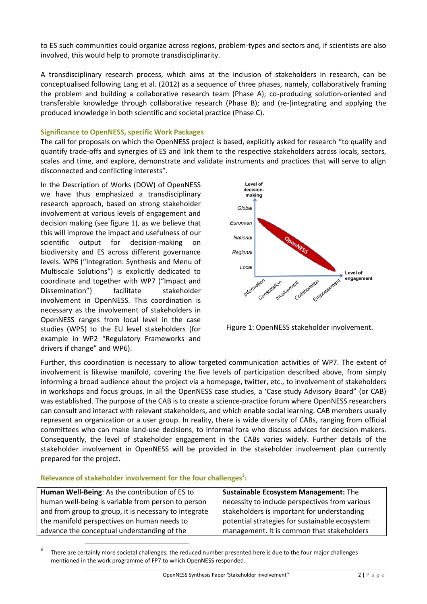to ES such communities could organize across regions, problem-types and sectors and, if scientists are also involved, this would help to promote transdisciplinarity.

A transdisciplinary research process, which aims at the inclusion of stakeholders in research, can be conceptualised following Lang et al. (2012) as a sequence of three phases, namely, collaboratively framing the problem and building a collaborative research team (Phase A); co-producing solution-oriented and transferable knowledge through collaborative research (Phase B); and (re-)integrating and applying the produced knowledge in both scientific and societal practice (Phase C).

#### **Significance to OpenNESS, specific Work Packages**

The call for proposals on which the OpenNESS project is based, explicitly asked for research "to qualify and quantify trade-offs and synergies of ES and link them to the respective stakeholders across locals, sectors, scales and time, and explore, demonstrate and validate instruments and practices that will serve to align disconnected and conflicting interests".

In the Description of Works (DOW) of OpenNESS we have thus emphasized a transdisciplinary research approach, based on strong stakeholder involvement at various levels of engagement and decision making (see figure 1), as we believe that this will improve the impact and usefulness of our scientific output for decision-making on biodiversity and ES across different governance levels. WP6 ("Integration: Synthesis and Menu of Multiscale Solutions") is explicitly dedicated to coordinate and together with WP7 ("Impact and Dissemination") facilitate stakeholder involvement in OpenNESS. This coordination is necessary as the involvement of stakeholders in OpenNESS ranges from local level in the case studies (WP5) to the EU level stakeholders (for example in WP2 "Regulatory Frameworks and drivers if change" and WP6).



Figure 1: OpenNESS stakeholder involvement.

Further, this coordination is necessary to allow targeted communication activities of WP7. The extent of involvement is likewise manifold, covering the five levels of participation described above, from simply informing a broad audience about the project via a homepage, twitter, etc., to involvement of stakeholders in workshops and focus groups. In all the OpenNESS case studies, a 'Case study Advisory Board" (or CAB) was established. The purpose of the CAB is to create a science-practice forum where OpenNESS researchers can consult and interact with relevant stakeholders, and which enable social learning. CAB members usually represent an organization or a user group. In reality, there is wide diversity of CABs, ranging from official committees who can make land-use decisions, to informal fora who discuss advices for decision makers. Consequently, the level of stakeholder engagement in the CABs varies widely. Further details of the stakeholder involvement in OpenNESS will be provided in the stakeholder involvement plan currently prepared for the project.

## **Relevance of stakeholder involvement for the four challenges<sup>3</sup> :**

 $\overline{a}$ 

| Human Well-Being: As the contribution of ES to        | <b>Sustainable Ecosystem Management: The</b>   |
|-------------------------------------------------------|------------------------------------------------|
| human well-being is variable from person to person    | necessity to include perspectives from various |
| and from group to group, it is necessary to integrate | stakeholders is important for understanding    |
| the manifold perspectives on human needs to           | potential strategies for sustainable ecosystem |
| advance the conceptual understanding of the           | management. It is common that stakeholders     |

3 There are certainly more societal challenges; the reduced number presented here is due to the four major challenges mentioned in the work programme of FP7 to which OpenNESS responded.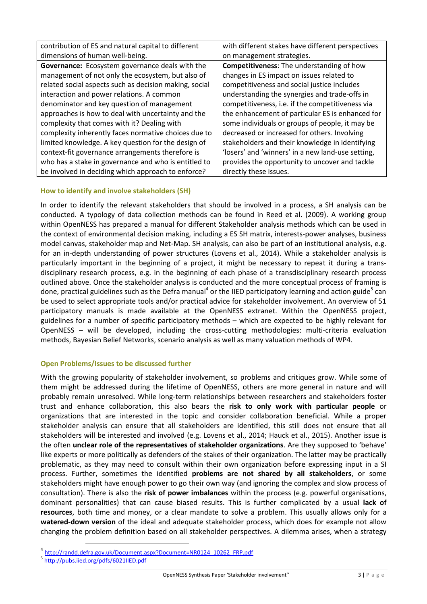| contribution of ES and natural capital to different    | with different stakes have different perspectives |
|--------------------------------------------------------|---------------------------------------------------|
| dimensions of human well-being.                        | on management strategies.                         |
| <b>Governance:</b> Ecosystem governance deals with the | <b>Competitiveness:</b> The understanding of how  |
| management of not only the ecosystem, but also of      | changes in ES impact on issues related to         |
| related social aspects such as decision making, social | competitiveness and social justice includes       |
| interaction and power relations. A common              | understanding the synergies and trade-offs in     |
| denominator and key question of management             | competitiveness, i.e. if the competitiveness via  |
| approaches is how to deal with uncertainty and the     | the enhancement of particular ES is enhanced for  |
| complexity that comes with it? Dealing with            | some individuals or groups of people, it may be   |
| complexity inherently faces normative choices due to   | decreased or increased for others. Involving      |
| limited knowledge. A key question for the design of    | stakeholders and their knowledge in identifying   |
| context-fit governance arrangements therefore is       | 'losers' and 'winners' in a new land-use setting, |
| who has a stake in governance and who is entitled to   | provides the opportunity to uncover and tackle    |
| be involved in deciding which approach to enforce?     | directly these issues.                            |

# **How to identify and involve stakeholders (SH)**

In order to identify the relevant stakeholders that should be involved in a process, a SH analysis can be conducted. A typology of data collection methods can be found in Reed et al. (2009). A working group within OpenNESS has prepared a manual for different Stakeholder analysis methods which can be used in the context of environmental decision making, including a ES SH matrix, interests-power analyses, business model canvas, stakeholder map and Net-Map. SH analysis, can also be part of an institutional analysis, e.g. for an in-depth understanding of power structures (Lovens et al., 2014). While a stakeholder analysis is particularly important in the beginning of a project, it might be necessary to repeat it during a transdisciplinary research process, e.g. in the beginning of each phase of a transdisciplinary research process outlined above. Once the stakeholder analysis is conducted and the more conceptual process of framing is done, practical guidelines such as the Defra manual<sup>4</sup> or the IIED participatory learning and action guide<sup>5</sup> can be used to select appropriate tools and/or practical advice for stakeholder involvement. An overview of 51 participatory manuals is made available at the OpenNESS extranet. Within the OpenNESS project, guidelines for a number of specific participatory methods – which are expected to be highly relevant for OpenNESS – will be developed, including the cross-cutting methodologies: multi-criteria evaluation methods, Bayesian Belief Networks, scenario analysis as well as many valuation methods of WP4.

# **Open Problems/Issues to be discussed further**

With the growing popularity of stakeholder involvement, so problems and critiques grow. While some of them might be addressed during the lifetime of OpenNESS, others are more general in nature and will probably remain unresolved. While long-term relationships between researchers and stakeholders foster trust and enhance collaboration, this also bears the **risk to only work with particular people** or organizations that are interested in the topic and consider collaboration beneficial. While a proper stakeholder analysis can ensure that all stakeholders are identified, this still does not ensure that all stakeholders will be interested and involved (e.g. Lovens et al., 2014; Hauck et al., 2015). Another issue is the often **unclear role of the representatives of stakeholder organizations**. Are they supposed to 'behave' like experts or more politically as defenders of the stakes of their organization. The latter may be practically problematic, as they may need to consult within their own organization before expressing input in a SI process. Further, sometimes the identified **problems are not shared by all stakeholders**, or some stakeholders might have enough power to go their own way (and ignoring the complex and slow process of consultation). There is also the **risk of power imbalances** within the process (e.g. powerful organisations, dominant personalities) that can cause biased results. This is further complicated by a usual **lack of resources**, both time and money, or a clear mandate to solve a problem. This usually allows only for a **watered-down version** of the ideal and adequate stakeholder process, which does for example not allow changing the problem definition based on all stakeholder perspectives. A dilemma arises, when a strategy

 $\overline{a}$ 

<sup>&</sup>lt;sup>4</sup> [http://randd.defra.gov.uk/Document.aspx?Document=NR0124\\_10262\\_FRP.pdf](http://randd.defra.gov.uk/Document.aspx?Document=NR0124_10262_FRP.pdf)

<sup>&</sup>lt;sup>5</sup> <http://pubs.iied.org/pdfs/6021IIED.pdf>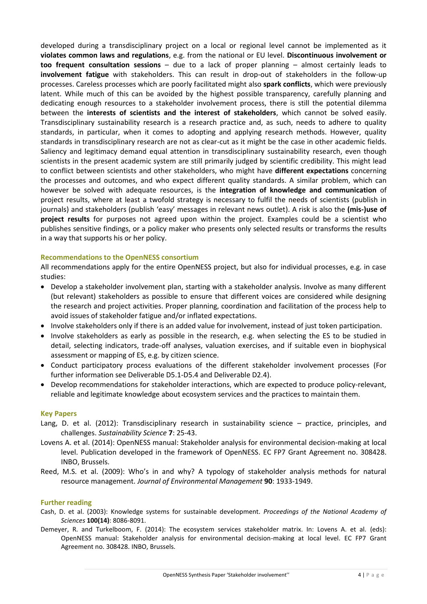developed during a transdisciplinary project on a local or regional level cannot be implemented as it **violates common laws and regulations**, e.g. from the national or EU level. **Discontinuous involvement or too frequent consultation sessions** – due to a lack of proper planning – almost certainly leads to **involvement fatigue** with stakeholders. This can result in drop-out of stakeholders in the follow-up processes. Careless processes which are poorly facilitated might also **spark conflicts**, which were previously latent. While much of this can be avoided by the highest possible transparency, carefully planning and dedicating enough resources to a stakeholder involvement process, there is still the potential dilemma between the **interests of scientists and the interest of stakeholders**, which cannot be solved easily. Transdisciplinary sustainability research is a research practice and, as such, needs to adhere to quality standards, in particular, when it comes to adopting and applying research methods. However, quality standards in transdisciplinary research are not as clear-cut as it might be the case in other academic fields. Saliency and legitimacy demand equal attention in transdisciplinary sustainability research, even though scientists in the present academic system are still primarily judged by scientific credibility. This might lead to conflict between scientists and other stakeholders, who might have **different expectations** concerning the processes and outcomes, and who expect different quality standards. A similar problem, which can however be solved with adequate resources, is the **integration of knowledge and communication** of project results, where at least a twofold strategy is necessary to fulfil the needs of scientists (publish in journals) and stakeholders (publish 'easy' messages in relevant news outlet). A risk is also the **(mis-)use of project results** for purposes not agreed upon within the project. Examples could be a scientist who publishes sensitive findings, or a policy maker who presents only selected results or transforms the results in a way that supports his or her policy.

#### **Recommendations to the OpenNESS consortium**

All recommendations apply for the entire OpenNESS project, but also for individual processes, e.g. in case studies:

- Develop a stakeholder involvement plan, starting with a stakeholder analysis. Involve as many different (but relevant) stakeholders as possible to ensure that different voices are considered while designing the research and project activities. Proper planning, coordination and facilitation of the process help to avoid issues of stakeholder fatigue and/or inflated expectations.
- Involve stakeholders only if there is an added value for involvement, instead of just token participation.
- Involve stakeholders as early as possible in the research, e.g. when selecting the ES to be studied in detail, selecting indicators, trade-off analyses, valuation exercises, and if suitable even in biophysical assessment or mapping of ES, e.g. by citizen science.
- Conduct participatory process evaluations of the different stakeholder involvement processes (For further information see Deliverable D5.1-D5.4 and Deliverable D2.4).
- Develop recommendations for stakeholder interactions, which are expected to produce policy-relevant, reliable and legitimate knowledge about ecosystem services and the practices to maintain them.

#### **Key Papers**

- Lang, D. et al. (2012): Transdisciplinary research in sustainability science practice, principles, and challenges. *Sustainability Science* **7**: 25-43.
- Lovens A. et al. (2014): OpenNESS manual: Stakeholder analysis for environmental decision-making at local level. Publication developed in the framework of OpenNESS. EC FP7 Grant Agreement no. 308428. INBO, Brussels.
- Reed, M.S. et al. (2009): Who's in and why? A typology of stakeholder analysis methods for natural resource management. *Journal of Environmental Management* **90**: 1933-1949.

#### **Further reading**

- Cash, D. et al. (2003): Knowledge systems for sustainable development. *Proceedings of the National Academy of Sciences* **100(14)**: 8086-8091.
- Demeyer, R. and Turkelboom, F. (2014): The ecosystem services stakeholder matrix. In: Lovens A. et al. (eds): OpenNESS manual: Stakeholder analysis for environmental decision-making at local level. EC FP7 Grant Agreement no. 308428. INBO, Brussels.